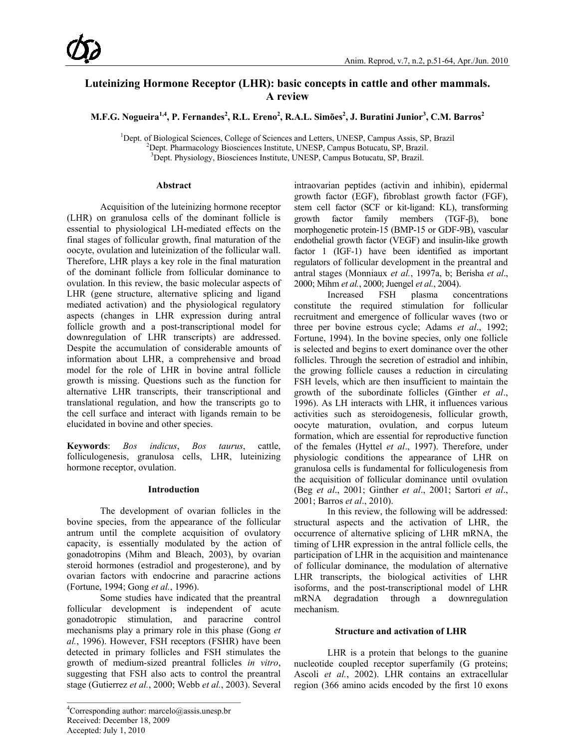# **Luteinizing Hormone Receptor (LHR): basic concepts in cattle and other mammals. A review**

 $\mathbf{M.F.G.}\ \mathbf{N}$ ogueira $^{1,4}$ ,  $\mathbf{P.}\ \mathbf{Fernandes}^2,\mathbf{R.L.}\ \mathbf{Ereno}^2,\mathbf{R.A.L.}\ \mathbf{Simões}^2,\mathbf{J.}\ \mathbf{Buratini}\ \mathbf{Junior}^3,\mathbf{C.M.}\ \mathbf{Barros}^2$ 

<sup>1</sup>Dept. of Biological Sciences, College of Sciences and Letters, UNESP, Campus Assis, SP, Brazil<br><sup>2</sup>Dept. Pharmacology Biosciences Institute LINESP, Campus Botucatu, SP, Brazil

<sup>2</sup>Dept. Pharmacology Biosciences Institute, UNESP, Campus Botucatu, SP, Brazil.

<sup>3</sup>Dept. Physiology, Biosciences Institute, UNESP, Campus Botucatu, SP, Brazil.

### **Abstract**

Acquisition of the luteinizing hormone receptor (LHR) on granulosa cells of the dominant follicle is essential to physiological LH-mediated effects on the final stages of follicular growth, final maturation of the oocyte, ovulation and luteinization of the follicular wall. Therefore, LHR plays a key role in the final maturation of the dominant follicle from follicular dominance to ovulation. In this review, the basic molecular aspects of LHR (gene structure, alternative splicing and ligand mediated activation) and the physiological regulatory aspects (changes in LHR expression during antral follicle growth and a post-transcriptional model for downregulation of LHR transcripts) are addressed. Despite the accumulation of considerable amounts of information about LHR, a comprehensive and broad model for the role of LHR in bovine antral follicle growth is missing. Questions such as the function for alternative LHR transcripts, their transcriptional and translational regulation, and how the transcripts go to the cell surface and interact with ligands remain to be elucidated in bovine and other species.

**Keywords**: *Bos indicus*, *Bos taurus*, cattle, folliculogenesis, granulosa cells, LHR, luteinizing hormone receptor, ovulation.

# **Introduction**

The development of ovarian follicles in the bovine species, from the appearance of the follicular antrum until the complete acquisition of ovulatory capacity, is essentially modulated by the action of gonadotropins (Mihm and Bleach, 2003), by ovarian steroid hormones (estradiol and progesterone), and by ovarian factors with endocrine and paracrine actions (Fortune, 1994; Gong *et al.*, 1996).

Some studies have indicated that the preantral follicular development is independent of acute gonadotropic stimulation, and paracrine control mechanisms play a primary role in this phase (Gong *et al.*, 1996). However, FSH receptors (FSHR) have been detected in primary follicles and FSH stimulates the growth of medium-sized preantral follicles *in vitro*, suggesting that FSH also acts to control the preantral stage (Gutierrez *et al.*, 2000; Webb *et al.*, 2003). Several

\_\_\_\_\_\_\_\_\_\_\_\_\_\_\_\_\_\_\_\_\_\_\_\_\_\_\_\_\_\_\_\_\_\_\_\_\_\_\_\_\_

intraovarian peptides (activin and inhibin), epidermal growth factor (EGF), fibroblast growth factor (FGF), stem cell factor (SCF or kit-ligand: KL), transforming growth factor family members (TGF-β), bone morphogenetic protein-15 (BMP-15 or GDF-9B), vascular endothelial growth factor (VEGF) and insulin-like growth factor 1 (IGF-1) have been identified as important regulators of follicular development in the preantral and antral stages (Monniaux *et al.*, 1997a, b; Berisha *et al*., 2000; Mihm *et al.*, 2000; Juengel *et al.*, 2004).

Increased FSH plasma concentrations constitute the required stimulation for follicular recruitment and emergence of follicular waves (two or three per bovine estrous cycle; Adams *et al*., 1992; Fortune, 1994). In the bovine species, only one follicle is selected and begins to exert dominance over the other follicles. Through the secretion of estradiol and inhibin, the growing follicle causes a reduction in circulating FSH levels, which are then insufficient to maintain the growth of the subordinate follicles (Ginther *et al*., 1996). As LH interacts with LHR, it influences various activities such as steroidogenesis, follicular growth, oocyte maturation, ovulation, and corpus luteum formation, which are essential for reproductive function of the females (Hyttel *et al*., 1997). Therefore, under physiologic conditions the appearance of LHR on granulosa cells is fundamental for folliculogenesis from the acquisition of follicular dominance until ovulation (Beg *et al*., 2001; Ginther *et al*., 2001; Sartori *et al*., 2001; Barros *et al*., 2010).

In this review, the following will be addressed: structural aspects and the activation of LHR, the occurrence of alternative splicing of LHR mRNA, the timing of LHR expression in the antral follicle cells, the participation of LHR in the acquisition and maintenance of follicular dominance, the modulation of alternative LHR transcripts, the biological activities of LHR isoforms, and the post-transcriptional model of LHR mRNA degradation through a downregulation mechanism.

# **Structure and activation of LHR**

LHR is a protein that belongs to the guanine nucleotide coupled receptor superfamily (G proteins; Ascoli *et al.*, 2002). LHR contains an extracellular region (366 amino acids encoded by the first 10 exons

<sup>4</sup> Corresponding author: marcelo@assis.unesp.br Received: December 18, 2009 Accepted: July 1, 2010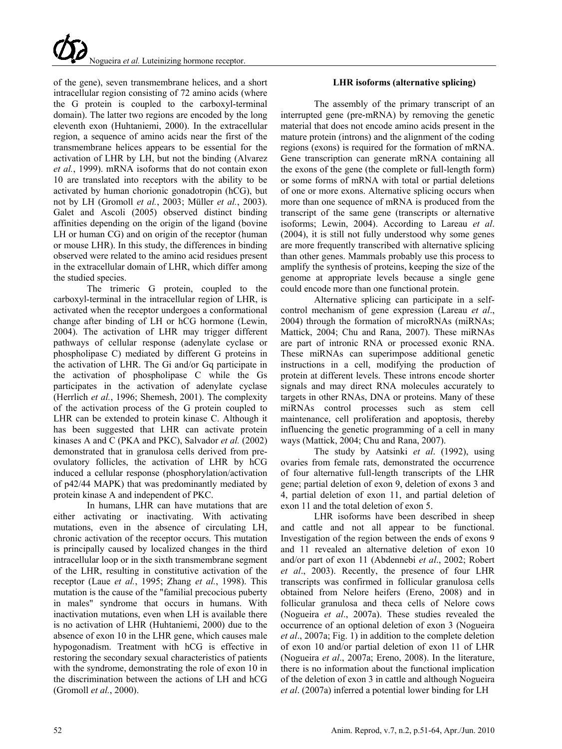of the gene), seven transmembrane helices, and a short intracellular region consisting of 72 amino acids (where the G protein is coupled to the carboxyl-terminal domain). The latter two regions are encoded by the long eleventh exon (Huhtaniemi, 2000). In the extracellular region, a sequence of amino acids near the first of the transmembrane helices appears to be essential for the activation of LHR by LH, but not the binding (Alvarez *et al.*, 1999). mRNA isoforms that do not contain exon 10 are translated into receptors with the ability to be activated by human chorionic gonadotropin (hCG), but not by LH (Gromoll *et al.*, 2003; Müller *et al.*, 2003). Galet and Ascoli (2005) observed distinct binding affinities depending on the origin of the ligand (bovine LH or human CG) and on origin of the receptor (human or mouse LHR). In this study, the differences in binding observed were related to the amino acid residues present in the extracellular domain of LHR, which differ among the studied species.

The trimeric G protein, coupled to the carboxyl-terminal in the intracellular region of LHR, is activated when the receptor undergoes a conformational change after binding of LH or hCG hormone (Lewin, 2004). The activation of LHR may trigger different pathways of cellular response (adenylate cyclase or phospholipase C) mediated by different G proteins in the activation of LHR. The Gi and/or Gq participate in the activation of phospholipase C while the Gs participates in the activation of adenylate cyclase (Herrlich *et al.*, 1996; Shemesh, 2001). The complexity of the activation process of the G protein coupled to LHR can be extended to protein kinase C. Although it has been suggested that LHR can activate protein kinases A and C (PKA and PKC), Salvador *et al.* (2002) demonstrated that in granulosa cells derived from preovulatory follicles, the activation of LHR by hCG induced a cellular response (phosphorylation/activation of p42/44 MAPK) that was predominantly mediated by protein kinase A and independent of PKC.

In humans, LHR can have mutations that are either activating or inactivating. With activating mutations, even in the absence of circulating LH, chronic activation of the receptor occurs. This mutation is principally caused by localized changes in the third intracellular loop or in the sixth transmembrane segment of the LHR, resulting in constitutive activation of the receptor (Laue *et al.*, 1995; Zhang *et al.*, 1998). This mutation is the cause of the "familial precocious puberty in males" syndrome that occurs in humans. With inactivation mutations, even when LH is available there is no activation of LHR (Huhtaniemi, 2000) due to the absence of exon 10 in the LHR gene, which causes male hypogonadism. Treatment with hCG is effective in restoring the secondary sexual characteristics of patients with the syndrome, demonstrating the role of exon 10 in the discrimination between the actions of LH and hCG (Gromoll *et al.*, 2000).

# **LHR isoforms (alternative splicing)**

The assembly of the primary transcript of an interrupted gene (pre-mRNA) by removing the genetic material that does not encode amino acids present in the mature protein (introns) and the alignment of the coding regions (exons) is required for the formation of mRNA. Gene transcription can generate mRNA containing all the exons of the gene (the complete or full-length form) or some forms of mRNA with total or partial deletions of one or more exons. Alternative splicing occurs when more than one sequence of mRNA is produced from the transcript of the same gene (transcripts or alternative isoforms; Lewin, 2004). According to Lareau *et al*. (2004), it is still not fully understood why some genes are more frequently transcribed with alternative splicing than other genes. Mammals probably use this process to amplify the synthesis of proteins, keeping the size of the genome at appropriate levels because a single gene could encode more than one functional protein.

Alternative splicing can participate in a selfcontrol mechanism of gene expression (Lareau *et al*., 2004) through the formation of microRNAs (miRNAs; Mattick, 2004; Chu and Rana, 2007). These miRNAs are part of intronic RNA or processed exonic RNA. These miRNAs can superimpose additional genetic instructions in a cell, modifying the production of protein at different levels. These introns encode shorter signals and may direct RNA molecules accurately to targets in other RNAs, DNA or proteins. Many of these miRNAs control processes such as stem cell maintenance, cell proliferation and apoptosis, thereby influencing the genetic programming of a cell in many ways (Mattick, 2004; Chu and Rana, 2007).

The study by Aatsinki *et al*. (1992), using ovaries from female rats, demonstrated the occurrence of four alternative full-length transcripts of the LHR gene; partial deletion of exon 9, deletion of exons 3 and 4, partial deletion of exon 11, and partial deletion of exon 11 and the total deletion of exon 5.

LHR isoforms have been described in sheep and cattle and not all appear to be functional. Investigation of the region between the ends of exons 9 and 11 revealed an alternative deletion of exon 10 and/or part of exon 11 (Abdennebi *et al*., 2002; Robert *et al*., 2003). Recently, the presence of four LHR transcripts was confirmed in follicular granulosa cells obtained from Nelore heifers (Ereno, 2008) and in follicular granulosa and theca cells of Nelore cows (Nogueira *et al*., 2007a). These studies revealed the occurrence of an optional deletion of exon 3 (Nogueira *et al*., 2007a; Fig. 1) in addition to the complete deletion of exon 10 and/or partial deletion of exon 11 of LHR (Nogueira *et al*., 2007a; Ereno, 2008). In the literature, there is no information about the functional implication of the deletion of exon 3 in cattle and although Nogueira *et al*. (2007a) inferred a potential lower binding for LH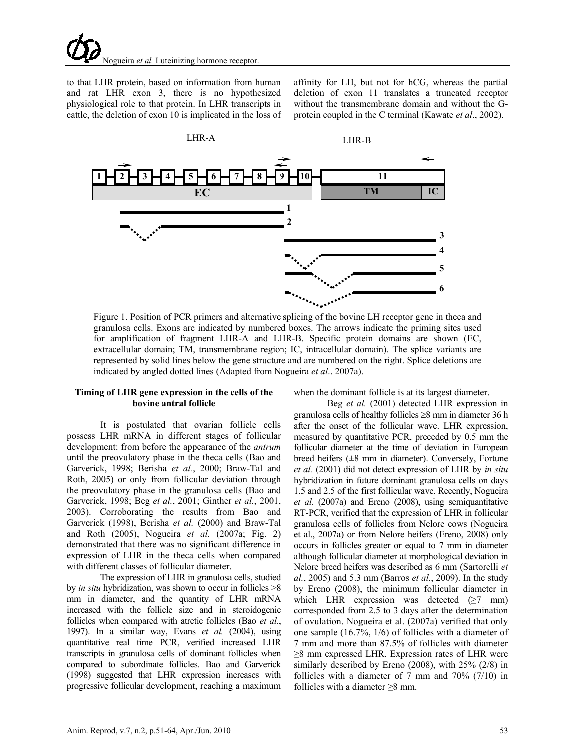to that LHR protein, based on information from human and rat LHR exon 3, there is no hypothesized physiological role to that protein. In LHR transcripts in cattle, the deletion of exon 10 is implicated in the loss of affinity for LH, but not for hCG, whereas the partial deletion of exon 11 translates a truncated receptor without the transmembrane domain and without the Gprotein coupled in the C terminal (Kawate *et al*., 2002).



Figure 1. Position of PCR primers and alternative splicing of the bovine LH receptor gene in theca and granulosa cells. Exons are indicated by numbered boxes. The arrows indicate the priming sites used for amplification of fragment LHR-A and LHR-B. Specific protein domains are shown (EC, extracellular domain; TM, transmembrane region; IC, intracellular domain). The splice variants are represented by solid lines below the gene structure and are numbered on the right. Splice deletions are indicated by angled dotted lines (Adapted from Nogueira *et al*., 2007a).

### **Timing of LHR gene expression in the cells of the bovine antral follicle**

It is postulated that ovarian follicle cells possess LHR mRNA in different stages of follicular development: from before the appearance of the *antrum* until the preovulatory phase in the theca cells (Bao and Garverick, 1998; Berisha *et al.*, 2000; Braw-Tal and Roth, 2005) or only from follicular deviation through the preovulatory phase in the granulosa cells (Bao and Garverick, 1998; Beg *et al.*, 2001; Ginther *et al.*, 2001, 2003). Corroborating the results from Bao and Garverick (1998), Berisha *et al.* (2000) and Braw-Tal and Roth (2005), Nogueira *et al.* (2007a; Fig. 2) demonstrated that there was no significant difference in expression of LHR in the theca cells when compared with different classes of follicular diameter.

The expression of LHR in granulosa cells, studied by *in situ* hybridization, was shown to occur in follicles >8 mm in diameter, and the quantity of LHR mRNA increased with the follicle size and in steroidogenic follicles when compared with atretic follicles (Bao *et al.*, 1997). In a similar way, Evans *et al.* (2004), using quantitative real time PCR, verified increased LHR transcripts in granulosa cells of dominant follicles when compared to subordinate follicles. Bao and Garverick (1998) suggested that LHR expression increases with progressive follicular development, reaching a maximum

when the dominant follicle is at its largest diameter.

Beg *et al.* (2001) detected LHR expression in granulosa cells of healthy follicles ≥8 mm in diameter 36 h after the onset of the follicular wave. LHR expression, measured by quantitative PCR, preceded by 0.5 mm the follicular diameter at the time of deviation in European breed heifers (±8 mm in diameter). Conversely, Fortune *et al.* (2001) did not detect expression of LHR by *in situ* hybridization in future dominant granulosa cells on days 1.5 and 2.5 of the first follicular wave. Recently, Nogueira *et al.* (2007a) and Ereno (2008), using semiquantitative RT-PCR, verified that the expression of LHR in follicular granulosa cells of follicles from Nelore cows (Nogueira et al., 2007a) or from Nelore heifers (Ereno, 2008) only occurs in follicles greater or equal to 7 mm in diameter although follicular diameter at morphological deviation in Nelore breed heifers was described as 6 mm (Sartorelli *et al.*, 2005) and 5.3 mm (Barros *et al.*, 2009). In the study by Ereno (2008), the minimum follicular diameter in which LHR expression was detected  $(\geq 7$  mm) corresponded from 2.5 to 3 days after the determination of ovulation. Nogueira et al. (2007a) verified that only one sample (16.7%, 1/6) of follicles with a diameter of 7 mm and more than 87.5% of follicles with diameter  $\geq$ 8 mm expressed LHR. Expression rates of LHR were similarly described by Ereno (2008), with 25% (2/8) in follicles with a diameter of 7 mm and 70% (7/10) in follicles with a diameter  $\geq 8$  mm.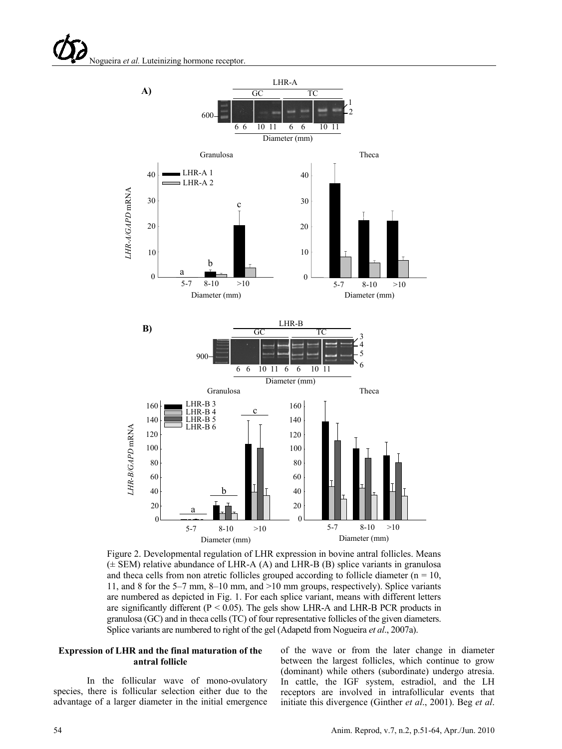

Figure 2. Developmental regulation of LHR expression in bovine antral follicles. Means  $(\pm$  SEM) relative abundance of LHR-A (A) and LHR-B (B) splice variants in granulosa and theca cells from non atretic follicles grouped according to follicle diameter ( $n = 10$ , 11, and 8 for the 5–7 mm, 8–10 mm, and >10 mm groups, respectively). Splice variants are numbered as depicted in Fig. 1. For each splice variant, means with different letters are significantly different ( $P < 0.05$ ). The gels show LHR-A and LHR-B PCR products in granulosa (GC) and in theca cells (TC) of four representative follicles of the given diameters. Splice variants are numbered to right of the gel (Adapetd from Nogueira *et al*., 2007a).

#### **Expression of LHR and the final maturation of the antral follicle**

In the follicular wave of mono-ovulatory species, there is follicular selection either due to the advantage of a larger diameter in the initial emergence of the wave or from the later change in diameter between the largest follicles, which continue to grow (dominant) while others (subordinate) undergo atresia. In cattle, the IGF system, estradiol, and the LH receptors are involved in intrafollicular events that initiate this divergence (Ginther *et al*., 2001). Beg *et al*.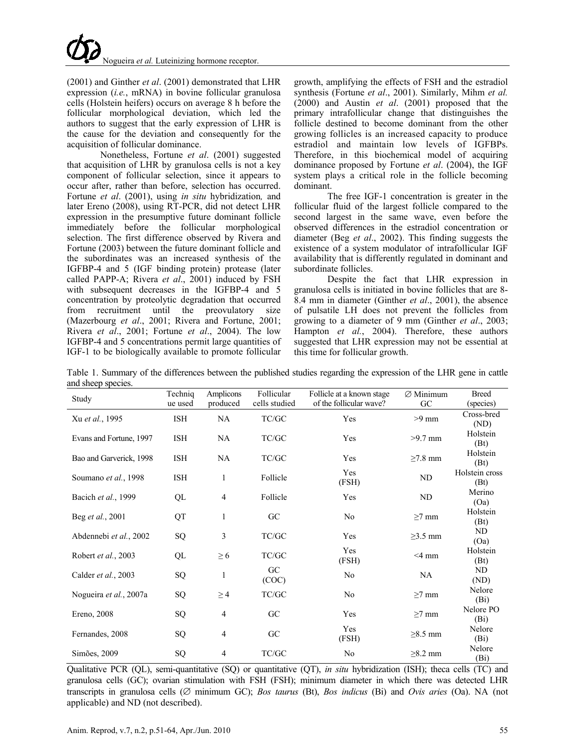(2001) and Ginther *et al*. (2001) demonstrated that LHR expression (*i.e.*, mRNA) in bovine follicular granulosa cells (Holstein heifers) occurs on average 8 h before the follicular morphological deviation, which led the authors to suggest that the early expression of LHR is the cause for the deviation and consequently for the acquisition of follicular dominance.

Nonetheless, Fortune *et al*. (2001) suggested that acquisition of LHR by granulosa cells is not a key component of follicular selection, since it appears to occur after, rather than before, selection has occurred. Fortune *et al*. (2001), using *in situ* hybridization*,* and later Ereno (2008), using RT-PCR, did not detect LHR expression in the presumptive future dominant follicle immediately before the follicular morphological selection. The first difference observed by Rivera and Fortune (2003) between the future dominant follicle and the subordinates was an increased synthesis of the IGFBP-4 and 5 (IGF binding protein) protease (later called PAPP-A; Rivera *et al*., 2001) induced by FSH with subsequent decreases in the IGFBP-4 and 5 concentration by proteolytic degradation that occurred from recruitment until the preovulatory size (Mazerbourg *et al*., 2001; Rivera and Fortune, 2001; Rivera *et al*., 2001; Fortune *et al*., 2004). The low IGFBP-4 and 5 concentrations permit large quantities of IGF-1 to be biologically available to promote follicular

growth, amplifying the effects of FSH and the estradiol synthesis (Fortune *et al*., 2001). Similarly, Mihm *et al.* (2000) and Austin *et al*. (2001) proposed that the primary intrafollicular change that distinguishes the follicle destined to become dominant from the other growing follicles is an increased capacity to produce estradiol and maintain low levels of IGFBPs. Therefore, in this biochemical model of acquiring dominance proposed by Fortune *et al*. (2004), the IGF system plays a critical role in the follicle becoming dominant.

The free IGF-1 concentration is greater in the follicular fluid of the largest follicle compared to the second largest in the same wave, even before the observed differences in the estradiol concentration or diameter (Beg *et al*., 2002). This finding suggests the existence of a system modulator of intrafollicular IGF availability that is differently regulated in dominant and subordinate follicles.

Despite the fact that LHR expression in granulosa cells is initiated in bovine follicles that are 8- 8.4 mm in diameter (Ginther *et al*., 2001), the absence of pulsatile LH does not prevent the follicles from growing to a diameter of 9 mm (Ginther *et al*., 2003; Hampton *et al.*, 2004). Therefore, these authors suggested that LHR expression may not be essential at this time for follicular growth.

| Table 1. Summary of the differences between the published studies regarding the expression of the LHR gene in cattle |  |  |  |  |
|----------------------------------------------------------------------------------------------------------------------|--|--|--|--|
| and sheep species.                                                                                                   |  |  |  |  |

| Study                   | Techniq    | Amplicons      | Follicular                                                                          | Follicle at a known stage | $\varnothing$ Minimum | <b>Breed</b>                   |
|-------------------------|------------|----------------|-------------------------------------------------------------------------------------|---------------------------|-----------------------|--------------------------------|
|                         | ue used    | produced       | cells studied                                                                       | of the follicular wave?   | GC                    | (species)                      |
| Xu et al., 1995         | <b>ISH</b> | NA             | TC/GC                                                                               | Yes                       | $>9$ mm               | Cross-bred<br>(ND)             |
| Evans and Fortune, 1997 | ISH        | NA             | TC/GC                                                                               | Yes                       | $>9.7$ mm             | Holstein<br>(Bt)               |
| Bao and Garverick, 1998 | ISH        | NA             | TC/GC                                                                               | Yes                       | $\geq$ 7.8 mm         | Holstein<br>(Bt)               |
| Soumano et al., 1998    | ISH        | 1              | Follicle                                                                            | Yes<br>(FSH)              | ND                    | Holstein cross<br>(Bt)         |
| Bacich et al., 1999     | QL         | 4              | Follicle                                                                            | Yes                       | ND                    | Merino<br>(Oa)                 |
| Beg et al., 2001        | QT         | 1              | GC                                                                                  | No                        | $\geq$ 7 mm           | Holstein<br>(Bt)               |
| Abdennebi et al., 2002  | SQ         | 3              | TC/GC                                                                               | Yes                       | $\geq$ 3.5 mm         | ND<br>(Oa)                     |
| Robert et al., 2003     | QL         | $\geq 6$       | TC/GC                                                                               | Yes<br>(FSH)              | $<$ 4 mm              | Holstein<br>(Bt)               |
| Calder et al., 2003     | SQ         | 1              | GC<br>(COC)                                                                         | No                        | NA                    | ND<br>(ND)                     |
| Nogueira et al., 2007a  | SQ         | $\geq$ 4       | $\ensuremath{\mathsf{T}\mathsf{C}}\xspace/\ensuremath{\mathsf{G}\mathsf{C}}\xspace$ | No                        | $\geq$ 7 mm           | Nelore<br>(B <sub>i</sub> )    |
| Ereno, 2008             | SQ         | $\overline{4}$ | GC                                                                                  | Yes                       | $\geq$ 7 mm           | Nelore PO<br>(B <sub>i</sub> ) |
| Fernandes, 2008         | SQ         | $\overline{4}$ | GC                                                                                  | Yes<br>(FSH)              | $\geq$ 8.5 mm         | Nelore<br>(B <sub>i</sub> )    |
| Simões, 2009            | SQ         | 4              | TC/GC                                                                               | No                        | $\geq$ 8.2 mm         | Nelore<br>(Bi)                 |

Qualitative PCR (QL), semi-quantitative (SQ) or quantitative (QT), *in situ* hybridization (ISH); theca cells (TC) and granulosa cells (GC); ovarian stimulation with FSH (FSH); minimum diameter in which there was detected LHR transcripts in granulosa cells (∅ minimum GC); *Bos taurus* (Bt), *Bos indicus* (Bi) and *Ovis aries* (Oa). NA (not applicable) and ND (not described).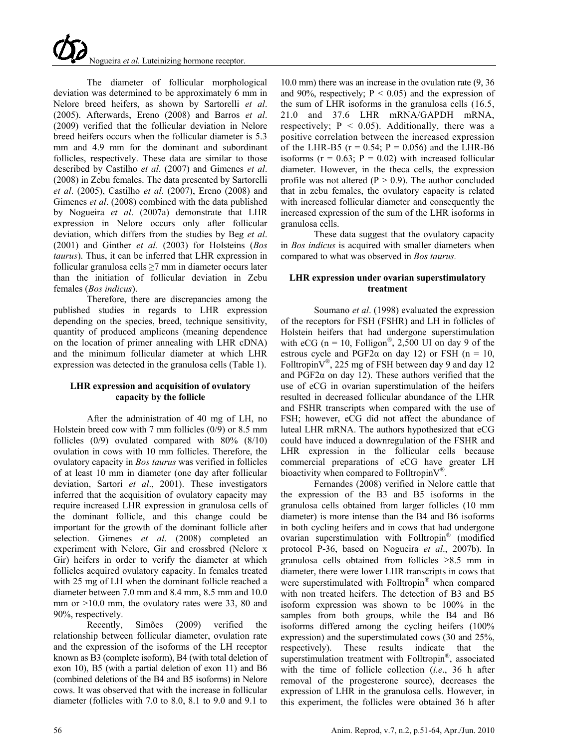The diameter of follicular morphological deviation was determined to be approximately 6 mm in Nelore breed heifers, as shown by Sartorelli *et al*. (2005). Afterwards, Ereno (2008) and Barros *et al*. (2009) verified that the follicular deviation in Nelore breed heifers occurs when the follicular diameter is 5.3 mm and 4.9 mm for the dominant and subordinant follicles, respectively. These data are similar to those described by Castilho *et al*. (2007) and Gimenes *et al*. (2008) in Zebu females. The data presented by Sartorelli *et al*. (2005), Castilho *et al*. (2007), Ereno (2008) and Gimenes *et al*. (2008) combined with the data published by Nogueira *et al*. (2007a) demonstrate that LHR expression in Nelore occurs only after follicular deviation, which differs from the studies by Beg *et al*. (2001) and Ginther *et al.* (2003) for Holsteins (*Bos taurus*). Thus, it can be inferred that LHR expression in follicular granulosa cells ≥7 mm in diameter occurs later than the initiation of follicular deviation in Zebu females (*Bos indicus*).

Therefore, there are discrepancies among the published studies in regards to LHR expression depending on the species, breed, technique sensitivity, quantity of produced amplicons (meaning dependence on the location of primer annealing with LHR cDNA) and the minimum follicular diameter at which LHR expression was detected in the granulosa cells (Table 1).

# **LHR expression and acquisition of ovulatory capacity by the follicle**

After the administration of 40 mg of LH, no Holstein breed cow with 7 mm follicles (0/9) or 8.5 mm follicles (0/9) ovulated compared with 80% (8/10) ovulation in cows with 10 mm follicles. Therefore, the ovulatory capacity in *Bos taurus* was verified in follicles of at least 10 mm in diameter (one day after follicular deviation, Sartori *et al*., 2001). These investigators inferred that the acquisition of ovulatory capacity may require increased LHR expression in granulosa cells of the dominant follicle, and this change could be important for the growth of the dominant follicle after selection. Gimenes *et al*. (2008) completed an experiment with Nelore, Gir and crossbred (Nelore x Gir) heifers in order to verify the diameter at which follicles acquired ovulatory capacity. In females treated with 25 mg of LH when the dominant follicle reached a diameter between 7.0 mm and 8.4 mm, 8.5 mm and 10.0 mm or  $>10.0$  mm, the ovulatory rates were 33, 80 and 90%, respectively.

Recently, Simões (2009) verified the relationship between follicular diameter, ovulation rate and the expression of the isoforms of the LH receptor known as B3 (complete isoform), B4 (with total deletion of exon 10), B5 (with a partial deletion of exon 11) and B6 (combined deletions of the B4 and B5 isoforms) in Nelore cows. It was observed that with the increase in follicular diameter (follicles with 7.0 to 8.0, 8.1 to 9.0 and 9.1 to

10.0 mm) there was an increase in the ovulation rate (9, 36 and 90%, respectively;  $P < 0.05$ ) and the expression of the sum of LHR isoforms in the granulosa cells (16.5, 21.0 and 37.6 LHR mRNA/GAPDH mRNA, respectively;  $P \le 0.05$ ). Additionally, there was a positive correlation between the increased expression of the LHR-B5 ( $r = 0.54$ ;  $P = 0.056$ ) and the LHR-B6 isoforms ( $r = 0.63$ ;  $P = 0.02$ ) with increased follicular diameter. However, in the theca cells, the expression profile was not altered  $(P > 0.9)$ . The author concluded that in zebu females, the ovulatory capacity is related with increased follicular diameter and consequently the increased expression of the sum of the LHR isoforms in granulosa cells.

These data suggest that the ovulatory capacity in *Bos indicus* is acquired with smaller diameters when compared to what was observed in *Bos taurus.*

# **LHR expression under ovarian superstimulatory treatment**

Soumano *et al*. (1998) evaluated the expression of the receptors for FSH (FSHR) and LH in follicles of Holstein heifers that had undergone superstimulation with eCG ( $n = 10$ , Folligon<sup>®</sup>, 2,500 UI on day 9 of the estrous cycle and PGF2 $\alpha$  on day 12) or FSH (n = 10, Folltropin $V^{\circledast}$ , 225 mg of FSH between day 9 and day 12 and PGF2 $\alpha$  on day 12). These authors verified that the use of eCG in ovarian superstimulation of the heifers resulted in decreased follicular abundance of the LHR and FSHR transcripts when compared with the use of FSH; however, eCG did not affect the abundance of luteal LHR mRNA. The authors hypothesized that eCG could have induced a downregulation of the FSHR and LHR expression in the follicular cells because commercial preparations of eCG have greater LH bioactivity when compared to FolltropinV®.

Fernandes (2008) verified in Nelore cattle that the expression of the B3 and B5 isoforms in the granulosa cells obtained from larger follicles (10 mm diameter) is more intense than the B4 and B6 isoforms in both cycling heifers and in cows that had undergone ovarian superstimulation with Folltropin® (modified protocol P-36, based on Nogueira *et al*., 2007b). In granulosa cells obtained from follicles ≥8.5 mm in diameter, there were lower LHR transcripts in cows that were superstimulated with  $Folltropin^{\circledR}$  when compared with non treated heifers. The detection of B3 and B5 isoform expression was shown to be 100% in the samples from both groups, while the B4 and B6 isoforms differed among the cycling heifers (100% expression) and the superstimulated cows (30 and 25%, respectively). These results indicate that the superstimulation treatment with Folltropin<sup>®</sup>, associated with the time of follicle collection (*i.e*., 36 h after removal of the progesterone source), decreases the expression of LHR in the granulosa cells. However, in this experiment, the follicles were obtained 36 h after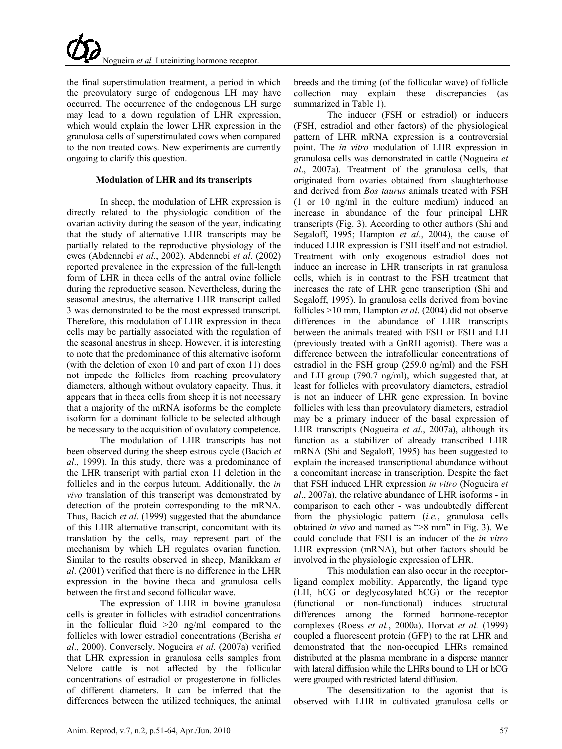the final superstimulation treatment, a period in which the preovulatory surge of endogenous LH may have occurred. The occurrence of the endogenous LH surge may lead to a down regulation of LHR expression, which would explain the lower LHR expression in the granulosa cells of superstimulated cows when compared to the non treated cows. New experiments are currently ongoing to clarify this question.

# **Modulation of LHR and its transcripts**

In sheep, the modulation of LHR expression is directly related to the physiologic condition of the ovarian activity during the season of the year, indicating that the study of alternative LHR transcripts may be partially related to the reproductive physiology of the ewes (Abdennebi *et al*., 2002). Abdennebi *et al*. (2002) reported prevalence in the expression of the full-length form of LHR in theca cells of the antral ovine follicle during the reproductive season. Nevertheless, during the seasonal anestrus, the alternative LHR transcript called 3 was demonstrated to be the most expressed transcript. Therefore, this modulation of LHR expression in theca cells may be partially associated with the regulation of the seasonal anestrus in sheep. However, it is interesting to note that the predominance of this alternative isoform (with the deletion of exon 10 and part of exon 11) does not impede the follicles from reaching preovulatory diameters, although without ovulatory capacity. Thus, it appears that in theca cells from sheep it is not necessary that a majority of the mRNA isoforms be the complete isoform for a dominant follicle to be selected although be necessary to the acquisition of ovulatory competence.

The modulation of LHR transcripts has not been observed during the sheep estrous cycle (Bacich *et al*., 1999). In this study, there was a predominance of the LHR transcript with partial exon 11 deletion in the follicles and in the corpus luteum. Additionally, the *in vivo* translation of this transcript was demonstrated by detection of the protein corresponding to the mRNA. Thus, Bacich *et al*. (1999) suggested that the abundance of this LHR alternative transcript, concomitant with its translation by the cells, may represent part of the mechanism by which LH regulates ovarian function. Similar to the results observed in sheep, Manikkam *et al*. (2001) verified that there is no difference in the LHR expression in the bovine theca and granulosa cells between the first and second follicular wave.

The expression of LHR in bovine granulosa cells is greater in follicles with estradiol concentrations in the follicular fluid  $>20$  ng/ml compared to the follicles with lower estradiol concentrations (Berisha *et al*., 2000). Conversely, Nogueira *et al*. (2007a) verified that LHR expression in granulosa cells samples from Nelore cattle is not affected by the follicular concentrations of estradiol or progesterone in follicles of different diameters. It can be inferred that the differences between the utilized techniques, the animal breeds and the timing (of the follicular wave) of follicle collection may explain these discrepancies (as summarized in Table 1).

The inducer (FSH or estradiol) or inducers (FSH, estradiol and other factors) of the physiological pattern of LHR mRNA expression is a controversial point. The *in vitro* modulation of LHR expression in granulosa cells was demonstrated in cattle (Nogueira *et al*., 2007a). Treatment of the granulosa cells, that originated from ovaries obtained from slaughterhouse and derived from *Bos taurus* animals treated with FSH (1 or 10 ng/ml in the culture medium) induced an increase in abundance of the four principal LHR transcripts (Fig. 3). According to other authors (Shi and Segaloff, 1995; Hampton *et al*., 2004), the cause of induced LHR expression is FSH itself and not estradiol. Treatment with only exogenous estradiol does not induce an increase in LHR transcripts in rat granulosa cells, which is in contrast to the FSH treatment that increases the rate of LHR gene transcription (Shi and Segaloff, 1995). In granulosa cells derived from bovine follicles >10 mm, Hampton *et al*. (2004) did not observe differences in the abundance of LHR transcripts between the animals treated with FSH or FSH and LH (previously treated with a GnRH agonist). There was a difference between the intrafollicular concentrations of estradiol in the FSH group (259.0 ng/ml) and the FSH and LH group (790.7 ng/ml), which suggested that, at least for follicles with preovulatory diameters, estradiol is not an inducer of LHR gene expression. In bovine follicles with less than preovulatory diameters, estradiol may be a primary inducer of the basal expression of LHR transcripts (Nogueira *et al*., 2007a), although its function as a stabilizer of already transcribed LHR mRNA (Shi and Segaloff, 1995) has been suggested to explain the increased transcriptional abundance without a concomitant increase in transcription. Despite the fact that FSH induced LHR expression *in vitro* (Nogueira *et al*., 2007a), the relative abundance of LHR isoforms - in comparison to each other - was undoubtedly different from the physiologic pattern (*i.e.*, granulosa cells obtained *in vivo* and named as ">8 mm" in Fig. 3). We could conclude that FSH is an inducer of the *in vitro* LHR expression (mRNA), but other factors should be involved in the physiologic expression of LHR.

This modulation can also occur in the receptorligand complex mobility. Apparently, the ligand type (LH, hCG or deglycosylated hCG) or the receptor (functional or non-functional) induces structural differences among the formed hormone-receptor complexes (Roess *et al.*, 2000a). Horvat *et al.* (1999) coupled a fluorescent protein (GFP) to the rat LHR and demonstrated that the non-occupied LHRs remained distributed at the plasma membrane in a disperse manner with lateral diffusion while the LHRs bound to LH or hCG were grouped with restricted lateral diffusion.

The desensitization to the agonist that is observed with LHR in cultivated granulosa cells or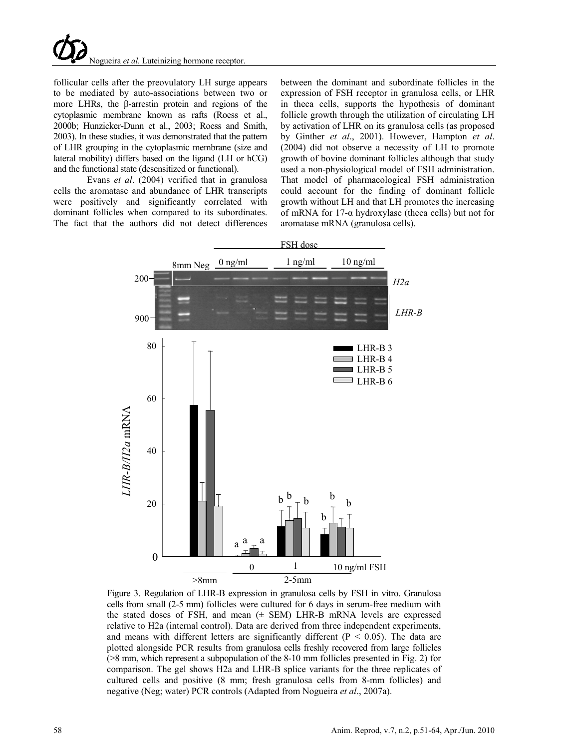follicular cells after the preovulatory LH surge appears to be mediated by auto-associations between two or more LHRs, the β-arrestin protein and regions of the cytoplasmic membrane known as rafts (Roess et al., 2000b; Hunzicker-Dunn et al., 2003; Roess and Smith, 2003). In these studies, it was demonstrated that the pattern of LHR grouping in the cytoplasmic membrane (size and lateral mobility) differs based on the ligand (LH or hCG) and the functional state (desensitized or functional).

Evans *et al*. (2004) verified that in granulosa cells the aromatase and abundance of LHR transcripts were positively and significantly correlated with dominant follicles when compared to its subordinates. The fact that the authors did not detect differences

between the dominant and subordinate follicles in the expression of FSH receptor in granulosa cells, or LHR in theca cells, supports the hypothesis of dominant follicle growth through the utilization of circulating LH by activation of LHR on its granulosa cells (as proposed by Ginther *et al*., 2001). However, Hampton *et al*. (2004) did not observe a necessity of LH to promote growth of bovine dominant follicles although that study used a non-physiological model of FSH administration. That model of pharmacological FSH administration could account for the finding of dominant follicle growth without LH and that LH promotes the increasing of mRNA for 17-α hydroxylase (theca cells) but not for aromatase mRNA (granulosa cells).



Figure 3. Regulation of LHR-B expression in granulosa cells by FSH in vitro. Granulosa cells from small (2-5 mm) follicles were cultured for 6 days in serum-free medium with the stated doses of FSH, and mean (± SEM) LHR-B mRNA levels are expressed relative to H2a (internal control). Data are derived from three independent experiments, and means with different letters are significantly different ( $P < 0.05$ ). The data are plotted alongside PCR results from granulosa cells freshly recovered from large follicles (>8 mm, which represent a subpopulation of the 8-10 mm follicles presented in Fig. 2) for comparison. The gel shows H2a and LHR-B splice variants for the three replicates of cultured cells and positive (8 mm; fresh granulosa cells from 8-mm follicles) and negative (Neg; water) PCR controls (Adapted from Nogueira *et al*., 2007a).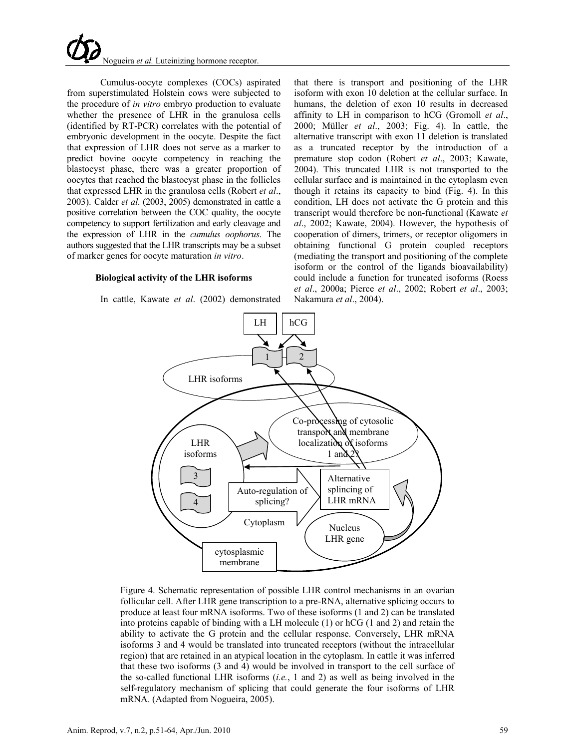

Cumulus-oocyte complexes (COCs) aspirated from superstimulated Holstein cows were subjected to the procedure of *in vitro* embryo production to evaluate whether the presence of LHR in the granulosa cells (identified by RT-PCR) correlates with the potential of embryonic development in the oocyte. Despite the fact that expression of LHR does not serve as a marker to predict bovine oocyte competency in reaching the blastocyst phase, there was a greater proportion of oocytes that reached the blastocyst phase in the follicles that expressed LHR in the granulosa cells (Robert *et al*., 2003). Calder *et al*. (2003, 2005) demonstrated in cattle a positive correlation between the COC quality, the oocyte competency to support fertilization and early cleavage and the expression of LHR in the *cumulus oophorus*. The authors suggested that the LHR transcripts may be a subset of marker genes for oocyte maturation *in vitro*.

#### **Biological activity of the LHR isoforms**

In cattle, Kawate *et al*. (2002) demonstrated

that there is transport and positioning of the LHR isoform with exon 10 deletion at the cellular surface. In humans, the deletion of exon 10 results in decreased affinity to LH in comparison to hCG (Gromoll *et al*., 2000; Müller *et al*., 2003; Fig. 4). In cattle, the alternative transcript with exon 11 deletion is translated as a truncated receptor by the introduction of a premature stop codon (Robert *et al*., 2003; Kawate, 2004). This truncated LHR is not transported to the cellular surface and is maintained in the cytoplasm even though it retains its capacity to bind (Fig. 4). In this condition, LH does not activate the G protein and this transcript would therefore be non-functional (Kawate *et al*., 2002; Kawate, 2004). However, the hypothesis of cooperation of dimers, trimers, or receptor oligomers in obtaining functional G protein coupled receptors (mediating the transport and positioning of the complete isoform or the control of the ligands bioavailability) could include a function for truncated isoforms (Roess *et al*., 2000a; Pierce *et al*., 2002; Robert *et al*., 2003; Nakamura *et al*., 2004).



Figure 4. Schematic representation of possible LHR control mechanisms in an ovarian follicular cell. After LHR gene transcription to a pre-RNA, alternative splicing occurs to produce at least four mRNA isoforms. Two of these isoforms (1 and 2) can be translated into proteins capable of binding with a LH molecule (1) or hCG (1 and 2) and retain the ability to activate the G protein and the cellular response. Conversely, LHR mRNA isoforms 3 and 4 would be translated into truncated receptors (without the intracellular region) that are retained in an atypical location in the cytoplasm. In cattle it was inferred that these two isoforms (3 and 4) would be involved in transport to the cell surface of the so-called functional LHR isoforms (*i.e.*, 1 and 2) as well as being involved in the self-regulatory mechanism of splicing that could generate the four isoforms of LHR mRNA. (Adapted from Nogueira, 2005).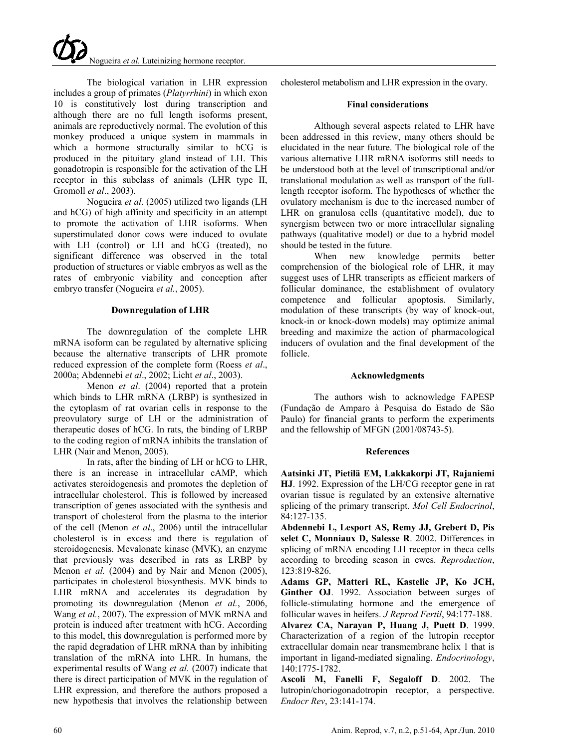The biological variation in LHR expression includes a group of primates (*Platyrrhini*) in which exon 10 is constitutively lost during transcription and although there are no full length isoforms present, animals are reproductively normal. The evolution of this monkey produced a unique system in mammals in which a hormone structurally similar to hCG is produced in the pituitary gland instead of LH. This gonadotropin is responsible for the activation of the LH receptor in this subclass of animals (LHR type II, Gromoll *et al*., 2003).

Nogueira *et al*. (2005) utilized two ligands (LH and hCG) of high affinity and specificity in an attempt to promote the activation of LHR isoforms. When superstimulated donor cows were induced to ovulate with LH (control) or LH and hCG (treated), no significant difference was observed in the total production of structures or viable embryos as well as the rates of embryonic viability and conception after embryo transfer (Nogueira *et al.*, 2005).

# **Downregulation of LHR**

The downregulation of the complete LHR mRNA isoform can be regulated by alternative splicing because the alternative transcripts of LHR promote reduced expression of the complete form (Roess *et al*., 2000a; Abdennebi *et al*., 2002; Licht *et al*., 2003).

Menon *et al*. (2004) reported that a protein which binds to LHR mRNA (LRBP) is synthesized in the cytoplasm of rat ovarian cells in response to the preovulatory surge of LH or the administration of therapeutic doses of hCG. In rats, the binding of LRBP to the coding region of mRNA inhibits the translation of LHR (Nair and Menon, 2005).

In rats, after the binding of LH or hCG to LHR, there is an increase in intracellular cAMP, which activates steroidogenesis and promotes the depletion of intracellular cholesterol. This is followed by increased transcription of genes associated with the synthesis and transport of cholesterol from the plasma to the interior of the cell (Menon *et al*., 2006) until the intracellular cholesterol is in excess and there is regulation of steroidogenesis. Mevalonate kinase (MVK), an enzyme that previously was described in rats as LRBP by Menon *et al.* (2004) and by Nair and Menon (2005), participates in cholesterol biosynthesis. MVK binds to LHR mRNA and accelerates its degradation by promoting its downregulation (Menon *et al.*, 2006, Wang *et al.*, 2007). The expression of MVK mRNA and protein is induced after treatment with hCG. According to this model, this downregulation is performed more by the rapid degradation of LHR mRNA than by inhibiting translation of the mRNA into LHR. In humans, the experimental results of Wang *et al.* (2007) indicate that there is direct participation of MVK in the regulation of LHR expression, and therefore the authors proposed a new hypothesis that involves the relationship between

cholesterol metabolism and LHR expression in the ovary.

# **Final considerations**

Although several aspects related to LHR have been addressed in this review, many others should be elucidated in the near future. The biological role of the various alternative LHR mRNA isoforms still needs to be understood both at the level of transcriptional and/or translational modulation as well as transport of the fulllength receptor isoform. The hypotheses of whether the ovulatory mechanism is due to the increased number of LHR on granulosa cells (quantitative model), due to synergism between two or more intracellular signaling pathways (qualitative model) or due to a hybrid model should be tested in the future.

When new knowledge permits better comprehension of the biological role of LHR, it may suggest uses of LHR transcripts as efficient markers of follicular dominance, the establishment of ovulatory competence and follicular apoptosis. Similarly, modulation of these transcripts (by way of knock-out, knock-in or knock-down models) may optimize animal breeding and maximize the action of pharmacological inducers of ovulation and the final development of the follicle.

### **Acknowledgments**

The authors wish to acknowledge FAPESP (Fundação de Amparo à Pesquisa do Estado de São Paulo) for financial grants to perform the experiments and the fellowship of MFGN (2001/08743-5).

#### **References**

**Aatsinki JT, Pietilä EM, Lakkakorpi JT, Rajaniemi HJ**. 1992. Expression of the LH/CG receptor gene in rat ovarian tissue is regulated by an extensive alternative splicing of the primary transcript. *Mol Cell Endocrinol*, 84:127-135.

**Abdennebi L, Lesport AS, Remy JJ, Grebert D, Pis selet C, Monniaux D, Salesse R**. 2002. Differences in splicing of mRNA encoding LH receptor in theca cells according to breeding season in ewes. *Reproduction*, 123:819-826.

**Adams GP, Matteri RL, Kastelic JP, Ko JCH, Ginther OJ**. 1992. Association between surges of follicle-stimulating hormone and the emergence of follicular waves in heifers. *J Reprod Fertil*, 94:177-188.

**Alvarez CA, Narayan P, Huang J, Puett D**. 1999. Characterization of a region of the lutropin receptor extracellular domain near transmembrane helix 1 that is important in ligand-mediated signaling. *Endocrinology*, 140:1775-1782.

**Ascoli M, Fanelli F, Segaloff D**. 2002. The lutropin/choriogonadotropin receptor, a perspective. *Endocr Rev*, 23:141-174.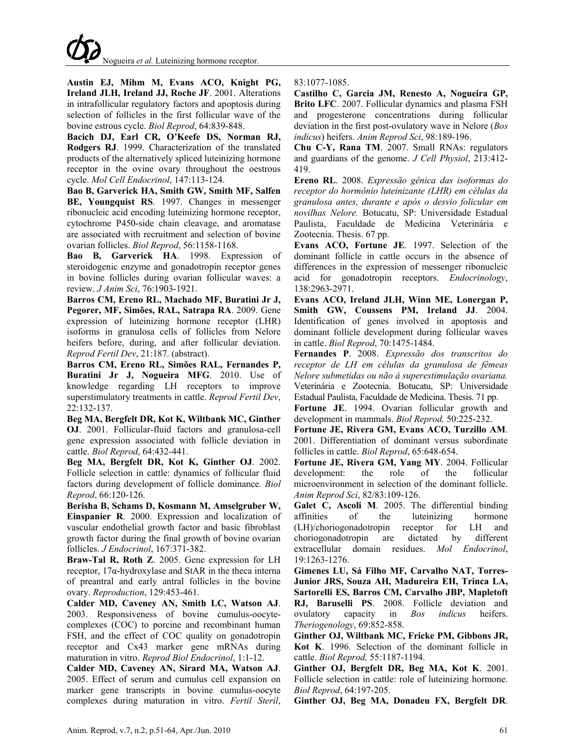**Austin EJ, Mihm M, Evans ACO, Knight PG, Ireland JLH, Ireland JJ, Roche JF**. 2001. Alterations in intrafollicular regulatory factors and apoptosis during selection of follicles in the first follicular wave of the bovine estrous cycle. *Biol Reprod*, 64:839-848.

**Bacich DJ, Earl CR, O'Keefe DS, Norman RJ, Rodgers RJ**. 1999. Characterization of the translated products of the alternatively spliced luteinizing hormone receptor in the ovine ovary throughout the oestrous cycle. *Mol Cell Endocrinol*, 147:113-124.

**Bao B, Garverick HA, Smith GW, Smith MF, Salfen BE, Youngquist RS**. 1997. Changes in messenger ribonucleic acid encoding luteinizing hormone receptor, cytochrome P450-side chain cleavage, and aromatase are associated with recruitment and selection of bovine ovarian follicles. *Biol Reprod*, 56:1158-1168.

**Bao B, Garverick HA**. 1998. Expression of steroidogenic enzyme and gonadotropin receptor genes in bovine follicles during ovarian follicular waves: a review. *J Anim Sci*, 76:1903-1921.

**Barros CM, Ereno RL, Machado MF, Buratini Jr J, Pegorer, MF, Simões, RAL, Satrapa RA**. 2009. Gene expression of luteinizing hormone receptor (LHR) isoforms in granulosa cells of follicles from Nelore heifers before, during, and after follicular deviation. *Reprod Fertil Dev*, 21:187. (abstract).

**Barros CM, Ereno RL, Simões RAL, Fernandes P, Buratini Jr J, Nogueira MFG**. 2010. Use of knowledge regarding LH receptors to improve superstimulatory treatments in cattle. *Reprod Fertil Dev*, 22:132-137.

**Beg MA, Bergfelt DR, Kot K, Wiltbank MC, Ginther OJ**. 2001. Follicular-fluid factors and granulosa-cell gene expression associated with follicle deviation in cattle. *Biol Reprod*, 64:432-441.

**Beg MA, Bergfelt DR, Kot K, Ginther OJ**. 2002. Follicle selection in cattle: dynamics of follicular fluid factors during development of follicle dominance*. Biol Reprod*, 66:120-126.

**Berisha B, Schams D, Kosmann M, Amselgruber W, Einspanier R**. 2000. Expression and localization of vascular endothelial growth factor and basic fibroblast growth factor during the final growth of bovine ovarian follicles. *J Endocrinol*, 167:371-382.

**Braw-Tal R, Roth Z**. 2005. Gene expression for LH receptor, 17α-hydroxylase and StAR in the theca interna of preantral and early antral follicles in the bovine ovary. *Reproduction*, 129:453-461.

**Calder MD, Caveney AN, Smith LC, Watson AJ**. 2003. Responsiveness of bovine cumulus-oocytecomplexes (COC) to porcine and recombinant human FSH, and the effect of COC quality on gonadotropin receptor and Cx43 marker gene mRNAs during maturation in vitro. *Reprod Biol Endocrinol*, 1:1-12.

**Calder MD, Caveney AN, Sirard MA, Watson AJ**. 2005. Effect of serum and cumulus cell expansion on marker gene transcripts in bovine cumulus-oocyte complexes during maturation in vitro. *Fertil Steril*, 83:1077-1085.

**Castilho C, Garcia JM, Renesto A, Nogueira GP, Brito LFC**. 2007. Follicular dynamics and plasma FSH and progesterone concentrations during follicular deviation in the first post-ovulatory wave in Nelore (*Bos indicus*) heifers. *Anim Reprod Sci*, 98:189-196.

**Chu C-Y, Rana TM**. 2007. Small RNAs: regulators and guardians of the genome. *J Cell Physiol*, 213:412- 419.

**Ereno RL**. 2008. *Expressão gênica das isoformas do receptor do hormônio luteinizante (LHR) em células da granulosa antes, durante e após o desvio folicular em novilhas Nelore.* Botucatu, SP: Universidade Estadual Paulista, Faculdade de Medicina Veterinária e Zootecnia. Thesis. 67 pp.

**Evans ACO, Fortune JE**. 1997. Selection of the dominant follicle in cattle occurs in the absence of differences in the expression of messenger ribonucleic acid for gonadotropin receptors. *Endocrinology*, 138:2963-2971.

**Evans ACO, Ireland JLH, Winn ME, Lonergan P, Smith GW, Coussens PM, Ireland JJ**. 2004. Identification of genes involved in apoptosis and dominant follicle development during follicular waves in cattle. *Biol Reprod*, 70:1475-1484.

**Fernandes P**. 2008. *Expressão dos transcritos do receptor de LH em células da granulosa de fêmeas Nelore submetidas ou não à superestimulação ovariana.*  Veterinária e Zootecnia. Botucatu, SP: Universidade Estadual Paulista, Faculdade de Medicina. Thesis. 71 pp.

**Fortune JE**. 1994. Ovarian follicular growth and development in mammals. *Biol Reprod,* 50:225-232.

**Fortune JE, Rivera GM, Evans ACO, Turzillo AM**. 2001. Differentiation of dominant versus subordinate follicles in cattle. *Biol Reprod*, 65:648-654.

**Fortune JE, Rivera GM, Yang MY**. 2004. Follicular development: the role of the follicular microenvironment in selection of the dominant follicle. *Anim Reprod Sci*, 82/83:109-126.

**Galet C, Ascoli M**. 2005. The differential binding affinities of the luteinizing hormone (LH)/choriogonadotropin receptor for LH and choriogonadotropin are dictated by different extracellular domain residues. *Mol Endocrinol*, 19:1263-1276.

**Gimenes LU, Sá Filho MF, Carvalho NAT, Torres-Junior JRS, Souza AH, Madureira EH, Trinca LA, Sartorelli ES, Barros CM, Carvalho JBP, Mapletoft RJ, Baruselli PS**. 2008. Follicle deviation and ovulatory capacity in *Bos indicus* heifers. *Theriogenology*, 69:852-858.

**Ginther OJ, Wiltbank MC, Fricke PM, Gibbons JR, Kot K**. 1996. Selection of the dominant follicle in cattle. *Biol Reprod,* 55:1187-1194.

**Ginther OJ, Bergfelt DR, Beg MA, Kot K**. 2001. Follicle selection in cattle: role of luteinizing hormone. *Biol Reprod*, 64:197-205.

**Ginther OJ, Beg MA, Donadeu FX, Bergfelt DR**.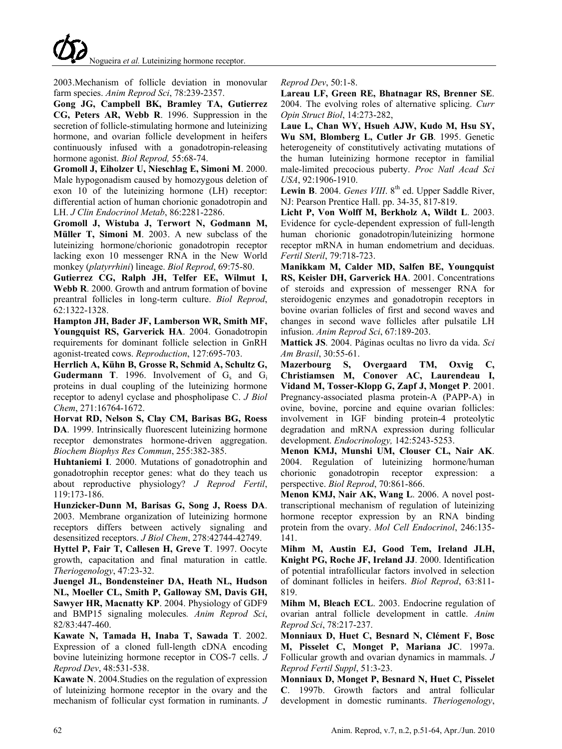

2003.Mechanism of follicle deviation in monovular farm species. *Anim Reprod Sci*, 78:239-2357.

**Gong JG, Campbell BK, Bramley TA, Gutierrez CG, Peters AR, Webb R**. 1996. Suppression in the secretion of follicle-stimulating hormone and luteinizing hormone, and ovarian follicle development in heifers continuously infused with a gonadotropin-releasing hormone agonist. *Biol Reprod,* 55:68-74.

**Gromoll J, Eiholzer U, Nieschlag E, Simoni M**. 2000. Male hypogonadism caused by homozygous deletion of exon 10 of the luteinizing hormone (LH) receptor: differential action of human chorionic gonadotropin and LH. *J Clin Endocrinol Metab*, 86:2281-2286.

**Gromoll J, Wistuba J, Terwort N, Godmann M, Müller T, Simoni M**. 2003. A new subclass of the luteinizing hormone/chorionic gonadotropin receptor lacking exon 10 messenger RNA in the New World monkey (*platyrrhini*) lineage. *Biol Reprod*, 69:75-80.

**Gutierrez CG, Ralph JH, Telfer EE, Wilmut I, Webb R**. 2000. Growth and antrum formation of bovine preantral follicles in long-term culture. *Biol Reprod*, 62:1322-1328.

**Hampton JH, Bader JF, Lamberson WR, Smith MF, Youngquist RS, Garverick HA**. 2004. Gonadotropin requirements for dominant follicle selection in GnRH agonist-treated cows. *Reproduction*, 127:695-703.

**Herrlich A, Kühn B, Grosse R, Schmid A, Schultz G, Gudermann T**. 1996. Involvement of  $G_s$  and  $G_i$ proteins in dual coupling of the luteinizing hormone receptor to adenyl cyclase and phospholipase C. *J Biol Chem*, 271:16764-1672.

**Horvat RD, Nelson S, Clay CM, Barisas BG, Roess DA**. 1999. Intrinsically fluorescent luteinizing hormone receptor demonstrates hormone-driven aggregation. *Biochem Biophys Res Commun*, 255:382-385.

**Huhtaniemi I**. 2000. Mutations of gonadotrophin and gonadotrophin receptor genes: what do they teach us about reproductive physiology? *J Reprod Fertil*, 119:173-186.

**Hunzicker-Dunn M, Barisas G, Song J, Roess DA**. 2003. Membrane organization of luteinizing hormone receptors differs between actively signaling and desensitized receptors. *J Biol Chem*, 278:42744-42749.

**Hyttel P, Fair T, Callesen H, Greve T**. 1997. Oocyte growth, capacitation and final maturation in cattle. *Theriogenology*, 47:23-32.

**Juengel JL, Bondensteiner DA, Heath NL, Hudson NL, Moeller CL, Smith P, Galloway SM, Davis GH, Sawyer HR, Macnatty KP**. 2004. Physiology of GDF9 and BMP15 signaling molecules*. Anim Reprod Sci*, 82/83:447-460.

**Kawate N, Tamada H, Inaba T, Sawada T**. 2002. Expression of a cloned full-length cDNA encoding bovine luteinizing hormone receptor in COS-7 cells. *J Reprod Dev*, 48:531-538.

**Kawate N**. 2004.Studies on the regulation of expression of luteinizing hormone receptor in the ovary and the mechanism of follicular cyst formation in ruminants. *J*  *Reprod Dev*, 50:1-8.

**Lareau LF, Green RE, Bhatnagar RS, Brenner SE**. 2004. The evolving roles of alternative splicing. *Curr Opin Struct Biol*, 14:273-282,

**Laue L, Chan WY, Hsueh AJW, Kudo M, Hsu SY, Wu SM, Blomberg L, Cutler Jr GB**. 1995. Genetic heterogeneity of constitutively activating mutations of the human luteinizing hormone receptor in familial male-limited precocious puberty. *Proc Natl Acad Sci USA*, 92:1906-1910.

Lewin B. 2004. *Genes VIII*. 8<sup>th</sup> ed. Upper Saddle River, NJ: Pearson Prentice Hall. pp. 34-35, 817-819.

**Licht P, Von Wolff M, Berkholz A, Wildt L**. 2003. Evidence for cycle-dependent expression of full-length human chorionic gonadotropin/luteinizing hormone receptor mRNA in human endometrium and deciduas. *Fertil Steril*, 79:718-723.

**Manikkam M, Calder MD, Salfen BE, Youngquist RS, Keisler DH, Garverick HA**. 2001. Concentrations of steroids and expression of messenger RNA for steroidogenic enzymes and gonadotropin receptors in bovine ovarian follicles of first and second waves and changes in second wave follicles after pulsatile LH infusion. *Anim Reprod Sci*, 67:189-203.

**Mattick JS**. 2004. Páginas ocultas no livro da vida. *Sci Am Brasil*, 30:55-61.

**Mazerbourg S, Overgaard TM, Oxvig C, Christiamsen M, Conover AC, Laurendeau I, Vidand M, Tosser-Klopp G, Zapf J, Monget P**. 2001. Pregnancy-associated plasma protein-A (PAPP-A) in ovine, bovine, porcine and equine ovarian follicles: involvement in IGF binding protein-4 proteolytic degradation and mRNA expression during follicular development. *Endocrinology,* 142:5243-5253.

**Menon KMJ, Munshi UM, Clouser CL, Nair AK**. 2004. Regulation of luteinizing hormone/human chorionic gonadotropin receptor expression: a perspective. *Biol Reprod*, 70:861-866.

**Menon KMJ, Nair AK, Wang L**. 2006. A novel posttranscriptional mechanism of regulation of luteinizing hormone receptor expression by an RNA binding protein from the ovary. *Mol Cell Endocrinol*, 246:135- 141.

**Mihm M, Austin EJ, Good Tem, Ireland JLH, Knight PG, Roche JF, Ireland JJ**. 2000. Identification of potential intrafollicular factors involved in selection of dominant follicles in heifers. *Biol Reprod*, 63:811- 819.

**Mihm M, Bleach ECL**. 2003. Endocrine regulation of ovarian antral follicle development in cattle. *Anim Reprod Sci*, 78:217-237.

**Monniaux D, Huet C, Besnard N, Clément F, Bosc M, Pisselet C, Monget P, Mariana JC**. 1997a. Follicular growth and ovarian dynamics in mammals. *J Reprod Fertil Suppl*, 51:3-23.

**Monniaux D, Monget P, Besnard N, Huet C, Pisselet C**. 1997b. Growth factors and antral follicular development in domestic ruminants. *Theriogenology*,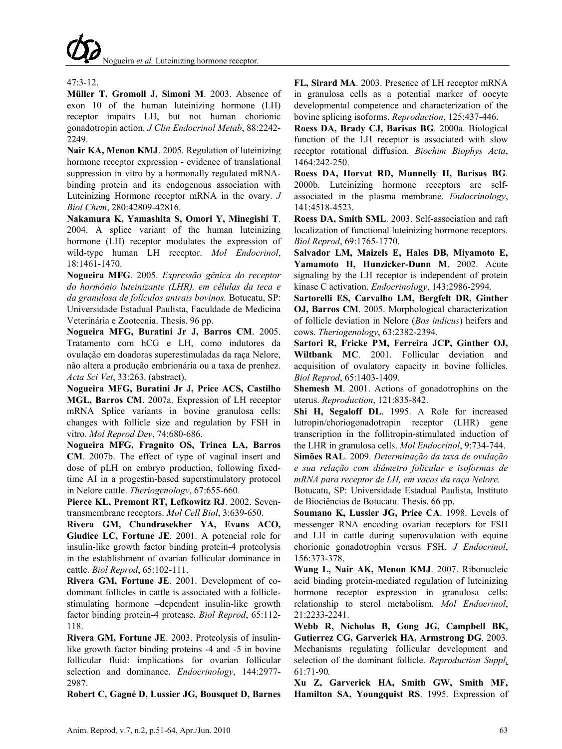# $47.3 - 12$

**Müller T, Gromoll J, Simoni M**. 2003. Absence of exon 10 of the human luteinizing hormone (LH) receptor impairs LH, but not human chorionic gonadotropin action. *J Clin Endocrinol Metab*, 88:2242- 2249.

**Nair KA, Menon KMJ**. 2005. Regulation of luteinizing hormone receptor expression - evidence of translational suppression in vitro by a hormonally regulated mRNAbinding protein and its endogenous association with Luteinizing Hormone receptor mRNA in the ovary. *J Biol Chem*, 280:42809-42816.

**Nakamura K, Yamashita S, Omori Y, Minegishi T**. 2004. A splice variant of the human luteinizing hormone (LH) receptor modulates the expression of wild-type human LH receptor. *Mol Endocrinol*, 18:1461-1470.

**Nogueira MFG**. 2005. *Expressão gênica do receptor do hormônio luteinizante (LHR), em células da teca e da granulosa de folículos antrais bovinos.* Botucatu, SP: Universidade Estadual Paulista, Faculdade de Medicina Veterinária e Zootecnia. Thesis. 96 pp.

**Nogueira MFG, Buratini Jr J, Barros CM**. 2005. Tratamento com hCG e LH, como indutores da ovulação em doadoras superestimuladas da raça Nelore, não altera a produção embrionária ou a taxa de prenhez. *Acta Sci Vet*, 33:263. (abstract).

**Nogueira MFG, Buratini Jr J, Price ACS, Castilho MGL, Barros CM**. 2007a. Expression of LH receptor mRNA Splice variants in bovine granulosa cells: changes with follicle size and regulation by FSH in vitro. *Mol Reprod Dev*, 74:680-686.

**Nogueira MFG, Fragnito OS, Trinca LA, Barros CM**. 2007b. The effect of type of vaginal insert and dose of pLH on embryo production, following fixedtime AI in a progestin-based superstimulatory protocol in Nelore cattle. *Theriogenology*, 67:655-660.

**Pierce KL, Premont RT, Lefkowitz RJ**. 2002. Seventransmembrane receptors. *Mol Cell Biol*, 3:639-650.

**Rivera GM, Chandrasekher YA, Evans ACO, Giudice LC, Fortune JE**. 2001. A potencial role for insulin-like growth factor binding protein-4 proteolysis in the establishment of ovarian follicular dominance in cattle. *Biol Reprod*, 65:102-111.

**Rivera GM, Fortune JE**. 2001. Development of codominant follicles in cattle is associated with a folliclestimulating hormone –dependent insulin-like growth factor binding protein-4 protease. *Biol Reprod*, 65:112- 118.

**Rivera GM, Fortune JE**. 2003. Proteolysis of insulinlike growth factor binding proteins -4 and -5 in bovine follicular fluid: implications for ovarian follicular selection and dominance. *Endocrinology*, 144:2977- 2987.

**Robert C, Gagné D, Lussier JG, Bousquet D, Barnes** 

**FL, Sirard MA**. 2003. Presence of LH receptor mRNA in granulosa cells as a potential marker of oocyte developmental competence and characterization of the bovine splicing isoforms. *Reproduction*, 125:437-446.

**Roess DA, Brady CJ, Barisas BG**. 2000a. Biological function of the LH receptor is associated with slow receptor rotational diffusion. *Biochim Biophys Acta*, 1464:242-250.

**Roess DA, Horvat RD, Munnelly H, Barisas BG**. 2000b. Luteinizing hormone receptors are selfassociated in the plasma membrane. *Endocrinology*, 141:4518-4523.

**Roess DA, Smith SML**. 2003. Self-association and raft localization of functional luteinizing hormone receptors. *Biol Reprod*, 69:1765-1770.

**Salvador LM, Maizels E, Hales DB, Miyamoto E, Yamamoto H, Hunzicker-Dunn M**. 2002. Acute signaling by the LH receptor is independent of protein kinase C activation. *Endocrinology*, 143:2986-2994.

**Sartorelli ES, Carvalho LM, Bergfelt DR, Ginther OJ, Barros CM**. 2005. Morphological characterization of follicle deviation in Nelore (*Bos indicus*) heifers and cows. *Theriogenology*, 63:2382-2394.

**Sartori R, Fricke PM, Ferreira JCP, Ginther OJ, Wiltbank MC**. 2001. Follicular deviation and acquisition of ovulatory capacity in bovine follicles. *Biol Reprod*, 65:1403-1409.

**Shemesh M**. 2001. Actions of gonadotrophins on the uterus. *Reproduction*, 121:835-842.

**Shi H, Segaloff DL**. 1995. A Role for increased lutropin/choriogonadotropin receptor (LHR) gene transcription in the follitropin-stimulated induction of the LHR in granulosa cells. *Mol Endocrinol*, 9:734-744.

**Simões RAL**. 2009. *Determinação da taxa de ovulação e sua relação com diâmetro folicular e isoformas de mRNA para receptor de LH, em vacas da raça Nelore.*

Botucatu, SP: Universidade Estadual Paulista, Instituto de Biociências de Botucatu. Thesis. 66 pp.

**Soumano K, Lussier JG, Price CA**. 1998. Levels of messenger RNA encoding ovarian receptors for FSH and LH in cattle during superovulation with equine chorionic gonadotrophin versus FSH. *J Endocrinol*, 156:373-378.

**Wang L, Nair AK, Menon KMJ**. 2007. Ribonucleic acid binding protein-mediated regulation of luteinizing hormone receptor expression in granulosa cells: relationship to sterol metabolism. *Mol Endocrinol*, 21:2233-2241.

**[Webb R,](http://www.ncbi.nlm.nih.gov/sites/?Db=pubmed&Cmd=Search&Term=%22Webb%20R%22%5BAuthor%5D&itool=EntrezSystem2.PEntrez.Pubmed.Pubmed_ResultsPanel.Pubmed_RVAbstractPlus) [Nicholas B,](http://www.ncbi.nlm.nih.gov/sites/?Db=pubmed&Cmd=Search&Term=%22Nicholas%20B%22%5BAuthor%5D&itool=EntrezSystem2.PEntrez.Pubmed.Pubmed_ResultsPanel.Pubmed_RVAbstractPlus) [Gong JG,](http://www.ncbi.nlm.nih.gov/sites/?Db=pubmed&Cmd=Search&Term=%22Gong%20JG%22%5BAuthor%5D&itool=EntrezSystem2.PEntrez.Pubmed.Pubmed_ResultsPanel.Pubmed_RVAbstractPlus) [Campbell BK,](http://www.ncbi.nlm.nih.gov/sites/?Db=pubmed&Cmd=Search&Term=%22Campbell%20BK%22%5BAuthor%5D&itool=EntrezSystem2.PEntrez.Pubmed.Pubmed_ResultsPanel.Pubmed_RVAbstractPlus) [Gutierrez CG,](http://www.ncbi.nlm.nih.gov/sites/?Db=pubmed&Cmd=Search&Term=%22Gutierrez%20CG%22%5BAuthor%5D&itool=EntrezSystem2.PEntrez.Pubmed.Pubmed_ResultsPanel.Pubmed_RVAbstractPlus) [Garverick](http://www.ncbi.nlm.nih.gov/sites/?Db=pubmed&Cmd=Search&Term=%22Garverick%20HA%22%5BAuthor%5D&itool=EntrezSystem2.PEntrez.Pubmed.Pubmed_ResultsPanel.Pubmed_RVAbstractPlus) HA, [Armstrong DG](http://www.ncbi.nlm.nih.gov/sites/?Db=pubmed&Cmd=Search&Term=%22Armstrong%20DG%22%5BAuthor%5D&itool=EntrezSystem2.PEntrez.Pubmed.Pubmed_ResultsPanel.Pubmed_RVAbstractPlus)**. 2003. Mechanisms regulating follicular development and selection of the dominant follicle. *[Reproduction](javascript:AL_get(this,%20) Suppl,* 61:71-90*.*

**Xu Z, Garverick HA, Smith GW, Smith MF, Hamilton SA, Youngquist RS**. 1995. Expression of